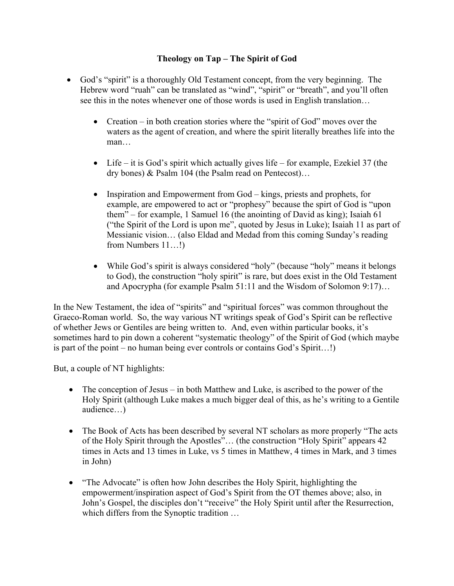## **Theology on Tap – The Spirit of God**

- God's "spirit" is a thoroughly Old Testament concept, from the very beginning. The Hebrew word "ruah" can be translated as "wind", "spirit" or "breath", and you'll often see this in the notes whenever one of those words is used in English translation…
	- Creation in both creation stories where the "spirit of God" moves over the waters as the agent of creation, and where the spirit literally breathes life into the man…
	- Life it is God's spirit which actually gives life for example, Ezekiel 37 (the dry bones) & Psalm 104 (the Psalm read on Pentecost)…
	- Inspiration and Empowerment from God kings, priests and prophets, for example, are empowered to act or "prophesy" because the spirt of God is "upon them" – for example, 1 Samuel 16 (the anointing of David as king); Isaiah 61 ("the Spirit of the Lord is upon me", quoted by Jesus in Luke); Isaiah 11 as part of Messianic vision… (also Eldad and Medad from this coming Sunday's reading from Numbers 11…!)
	- While God's spirit is always considered "holy" (because "holy" means it belongs to God), the construction "holy spirit" is rare, but does exist in the Old Testament and Apocrypha (for example Psalm 51:11 and the Wisdom of Solomon 9:17)…

In the New Testament, the idea of "spirits" and "spiritual forces" was common throughout the Graeco-Roman world. So, the way various NT writings speak of God's Spirit can be reflective of whether Jews or Gentiles are being written to. And, even within particular books, it's sometimes hard to pin down a coherent "systematic theology" of the Spirit of God (which maybe is part of the point – no human being ever controls or contains God's Spirit…!)

But, a couple of NT highlights:

- The conception of Jesus in both Matthew and Luke, is ascribed to the power of the Holy Spirit (although Luke makes a much bigger deal of this, as he's writing to a Gentile audience…)
- The Book of Acts has been described by several NT scholars as more properly "The acts" of the Holy Spirit through the Apostles"… (the construction "Holy Spirit" appears 42 times in Acts and 13 times in Luke, vs 5 times in Matthew, 4 times in Mark, and 3 times in John)
- "The Advocate" is often how John describes the Holy Spirit, highlighting the empowerment/inspiration aspect of God's Spirit from the OT themes above; also, in John's Gospel, the disciples don't "receive" the Holy Spirit until after the Resurrection, which differs from the Synoptic tradition ...